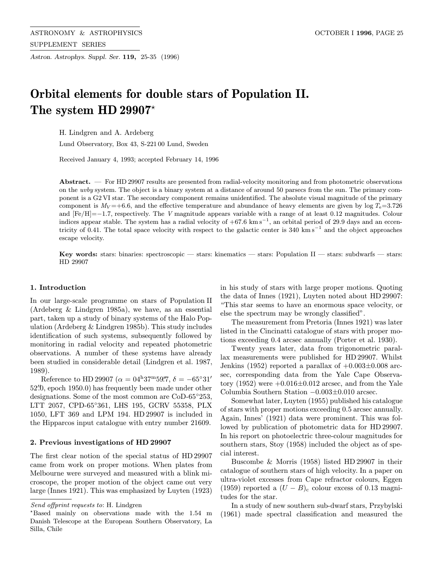Astron. Astrophys. Suppl. Ser. 119, 25-35 (1996)

# Orbital elements for double stars of Population II. The system HD 29907\*

H. Lindgren and A. Ardeberg

Lund Observatory, Box 43, S-221 00 Lund, Sweden

Received January 4, 1993; accepted February 14, 1996

Abstract. — For HD 29907 results are presented from radial-velocity monitoring and from photometric observations on the uvby system. The object is a binary system at a distance of around 50 parsecs from the sun. The primary component is a G2 VI star. The secondary component remains unidentified. The absolute visual magnitude of the primary component is  $M_V = +6.6$ , and the effective temperature and abundance of heavy elements are given by  $\log T_e = 3.726$ and [Fe/H]=−1.7, respectively. The V magnitude appears variable with a range of at least 0.12 magnitudes. Colour indices appear stable. The system has a radial velocity of  $+67.6 \text{ km s}^{-1}$ , an orbital period of 29.9 days and an eccentricity of 0.41. The total space velocity with respect to the galactic center is 340 km s<sup>−1</sup> and the object approaches escape velocity.

Key words: stars: binaries: spectroscopic — stars: kinematics — stars: Population II — stars: subdwarfs — stars: HD 29907

# 1. Introduction

In our large-scale programme on stars of Population II (Ardeberg & Lindgren 1985a), we have, as an essential part, taken up a study of binary systems of the Halo Population (Ardeberg & Lindgren 1985b). This study includes identification of such systems, subsequently followed by monitoring in radial velocity and repeated photometric observations. A number of these systems have already been studied in considerable detail (Lindgren et al. 1987, 1989).

Reference to HD 29907 ( $\alpha = 04^{\text{h}}37^{\text{m}}59\rlap{.}^{\text{S}}7$ ,  $\delta = -65°31'$  $52\rlap{.}^{\prime\prime}0$ , epoch  $1950.0$ ) has frequently been made under other designations. Some of the most common are CoD-65◦253, LTT 2057, CPD-65◦361, LHS 195, GCRV 55358, PLX 1050, LFT 369 and LPM 194. HD 29907 is included in the Hipparcos input catalogue with entry number 21609.

#### 2. Previous investigations of HD 29907

The first clear notion of the special status of HD 29907 came from work on proper motions. When plates from Melbourne were surveyed and measured with a blink microscope, the proper motion of the object came out very large (Innes 1921). This was emphasized by Luyten (1923) in his study of stars with large proper motions. Quoting the data of Innes (1921), Luyten noted about HD 29907: "This star seems to have an enormous space velocity, or else the spectrum may be wrongly classified".

The measurement from Pretoria (Innes 1921) was later listed in the Cincinatti catalogue of stars with proper motions exceeding 0.4 arcsec annually (Porter et al. 1930).

Twenty years later, data from trigonometric parallax measurements were published for HD 29907. Whilst Jenkins (1952) reported a parallax of  $+0.003\pm0.008$  arcsec, corresponding data from the Yale Cape Observatory  $(1952)$  were  $+0.016\pm0.012$  arcsec, and from the Yale Columbia Southern Station −0.003±0.010 arcsec.

Somewhat later, Luyten (1955) published his catalogue of stars with proper motions exceeding 0.5 arcsec annually. Again, Innes' (1921) data were prominent. This was followed by publication of photometric data for HD 29907. In his report on photoelectric three-colour magnitudes for southern stars, Stoy (1958) included the object as of special interest.

Buscombe & Morris (1958) listed HD 29907 in their catalogue of southern stars of high velocity. In a paper on ultra-violet excesses from Cape refractor colours, Eggen (1959) reported a  $(U - B)_{c}$  colour excess of 0.13 magnitudes for the star.

In a study of new southern sub-dwarf stars, Przybylski (1961) made spectral classification and measured the

Send offprint requests to: H. Lindgren

<sup>?</sup>Based mainly on observations made with the 1.54 m Danish Telescope at the European Southern Observatory, La Silla, Chile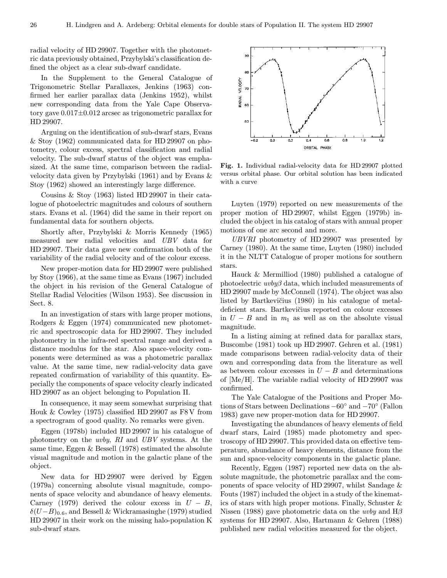radial velocity of HD 29907. Together with the photometric data previously obtained, Przybylski's classification defined the object as a clear sub-dwarf candidate.

In the Supplement to the General Catalogue of Trigonometric Stellar Parallaxes, Jenkins (1963) confirmed her earlier parallax data (Jenkins 1952), whilst new corresponding data from the Yale Cape Observatory gave 0.017±0.012 arcsec as trigonometric parallax for HD 29907.

Arguing on the identification of sub-dwarf stars, Evans & Stoy (1962) communicated data for HD 29907 on photometry, colour excess, spectral classification and radial velocity. The sub-dwarf status of the object was emphasized. At the same time, comparison between the radialvelocity data given by Przybylski (1961) and by Evans & Stoy (1962) showed an interestingly large difference.

Cousins & Stoy (1963) listed HD 29907 in their catalogue of photoelectric magnitudes and colours of southern stars. Evans et al. (1964) did the same in their report on fundamental data for southern objects.

Shortly after, Przybylski & Morris Kennedy (1965) measured new radial velocities and UBV data for HD 29907. Their data gave new confirmation both of the variability of the radial velocity and of the colour excess.

New proper-motion data for HD 29907 were published by Stoy (1966), at the same time as Evans (1967) included the object in his revision of the General Catalogue of Stellar Radial Velocities (Wilson 1953). See discussion in Sect. 8.

In an investigation of stars with large proper motions, Rodgers & Eggen (1974) communicated new photometric and spectroscopic data for HD 29907. They included photometry in the infra-red spectral range and derived a distance modulus for the star. Also space-velocity components were determined as was a photometric parallax value. At the same time, new radial-velocity data gave repeated confirmation of variability of this quantity. Especially the components of space velocity clearly indicated HD 29907 as an object belonging to Population II.

In consequence, it may seem somewhat surprising that Houk & Cowley (1975) classified HD 29907 as F8 V from a spectrogram of good quality. No remarks were given.

Eggen (1978b) included HD 29907 in his catalogue of photometry on the uvby, RI and UBV systems. At the same time, Eggen & Bessell (1978) estimated the absolute visual magnitude and motion in the galactic plane of the object.

New data for HD 29907 were derived by Eggen (1979a) concerning absolute visual magnitude, components of space velocity and abundance of heavy elements. Carney (1979) derived the colour excess in  $U - B$ ,  $\delta(U-B)_{0.6}$ , and Bessell & Wickramasinghe (1979) studied HD 29907 in their work on the missing halo-population K sub-dwarf stars.



Fig. 1. Individual radial-velocity data for HD 29907 plotted versus orbital phase. Our orbital solution has been indicated with a curve

Luyten (1979) reported on new measurements of the proper motion of HD 29907, whilst Eggen (1979b) included the object in his catalog of stars with annual proper motions of one arc second and more.

UBVRI photometry of HD 29907 was presented by Carney (1980). At the same time, Luyten (1980) included it in the NLTT Catalogue of proper motions for southern stars.

Hauck & Mermilliod (1980) published a catalogue of photoelectric  $uvby\beta$  data, which included measurements of HD 29907 made by McConnell (1974). The object was also listed by Bartkevičius (1980) in his catalogue of metaldeficient stars. Bartkevičius reported on colour excesses in  $U - B$  and in  $m_1$  as well as on the absolute visual magnitude.

In a listing aiming at refined data for parallax stars, Buscombe (1981) took up HD 29907. Gehren et al. (1981) made comparisons between radial-velocity data of their own and corresponding data from the literature as well as between colour excesses in  $U - B$  and determinations of [Me/H]. The variable radial velocity of HD 29907 was confirmed.

The Yale Catalogue of the Positions and Proper Motions of Stars between Declinations −60◦ and −70◦ (Fallon 1983) gave new proper-motion data for HD 29907.

Investigating the abundances of heavy elements of field dwarf stars, Laird (1985) made photometry and spectroscopy of HD 29907. This provided data on effective temperature, abundance of heavy elements, distance from the sun and space-velocity components in the galactic plane.

Recently, Eggen (1987) reported new data on the absolute magnitude, the photometric parallax and the components of space velocity of HD 29907, whilst Sandage & Fouts (1987) included the object in a study of the kinematics of stars with high proper motions. Finally, Schuster & Nissen (1988) gave photometric data on the *uvby* and  $H\beta$ systems for HD 29907. Also, Hartmann & Gehren (1988) published new radial velocities measured for the object.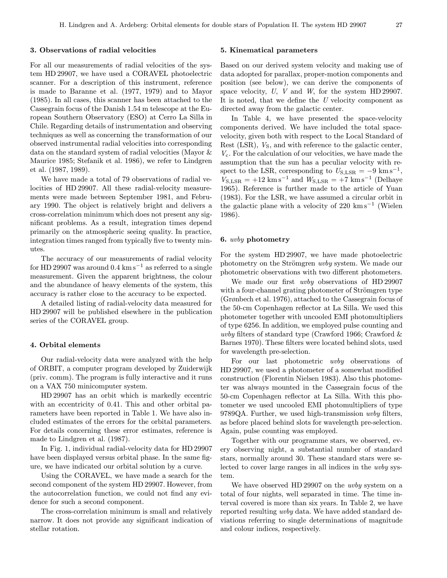# 3. Observations of radial velocities

For all our measurements of radial velocities of the system HD 29907, we have used a CORAVEL photoelectric scanner. For a description of this instrument, reference is made to Baranne et al. (1977, 1979) and to Mayor (1985). In all cases, this scanner has been attached to the Cassegrain focus of the Danish 1.54 m telescope at the European Southern Observatory (ESO) at Cerro La Silla in Chile. Regarding details of instrumentation and observing techniques as well as concerning the transformation of our observed instrumental radial velocities into corresponding data on the standard system of radial velocities (Mayor & Maurice 1985; Stefanik et al. 1986), we refer to Lindgren et al. (1987, 1989).

We have made a total of 79 observations of radial velocities of HD 29907. All these radial-velocity measurements were made between September 1981, and February 1990. The object is relatively bright and delivers a cross-correlation minimum which does not present any significant problems. As a result, integration times depend primarily on the atmospheric seeing quality. In practice, integration times ranged from typically five to twenty minutes.

The accuracy of our measurements of radial velocity for HD 29907 was around  $0.4 \text{ km s}^{-1}$  as referred to a single measurement. Given the apparent brightness, the colour and the abundance of heavy elements of the system, this accuracy is rather close to the accuracy to be expected.

A detailed listing of radial-velocity data measured for HD 29907 will be published elsewhere in the publication series of the CORAVEL group.

# 4. Orbital elements

Our radial-velocity data were analyzed with the help of ORBIT, a computer program developed by Zuiderwijk (priv. comm). The program is fully interactive and it runs on a VAX 750 minicomputer system.

HD 29907 has an orbit which is markedly eccentric with an eccentricity of 0.41. This and other orbital parameters have been reported in Table 1. We have also included estimates of the errors for the orbital parameters. For details concerning these error estimates, reference is made to Lindgren et al. (1987).

In Fig. 1, individual radial-velocity data for HD 29907 have been displayed versus orbital phase. In the same figure, we have indicated our orbital solution by a curve.

Using the CORAVEL, we have made a search for the second component of the system HD 29907. However, from the autocorrelation function, we could not find any evidence for such a second component.

The cross-correlation minimum is small and relatively narrow. It does not provide any significant indication of stellar rotation.

# 5. Kinematical parameters

Based on our derived system velocity and making use of data adopted for parallax, proper-motion components and position (see below), we can derive the components of space velocity, U, V and W, for the system HD 29907. It is noted, that we define the  $U$  velocity component as directed away from the galactic center.

In Table 4, we have presented the space-velocity components derived. We have included the total spacevelocity, given both with respect to the Local Standard of Rest  $(LSR)$ ,  $V_S$ , and with reference to the galactic center,  $V_c$ . For the calculation of our velocities, we have made the assumption that the sun has a peculiar velocity with respect to the LSR, corresponding to  $U_{\text{S,LSR}} = -9 \text{ km s}^{-1}$ ,  $V_{\rm S,LSR} = +12 \text{ km s}^{-1}$  and  $W_{\rm S,LSR} = +7 \text{ km s}^{-1}$  (Delhaye 1965). Reference is further made to the article of Yuan (1983). For the LSR, we have assumed a circular orbit in the galactic plane with a velocity of 220 km s<sup>−1</sup> (Wielen 1986).

#### 6. uvby photometry

For the system HD 29907, we have made photoelectric photometry on the Strömgren *uvby* system. We made our photometric observations with two different photometers.

We made our first *uvby* observations of HD 29907 with a four-channel grating photometer of Strömgren type (Grønbech et al. 1976), attached to the Cassegrain focus of the 50-cm Copenhagen reflector at La Silla. We used this photometer together with uncooled EMI photomultipliers of type 6256. In addition, we employed pulse counting and uvby filters of standard type (Crawford 1966; Crawford & Barnes 1970). These filters were located behind slots, used for wavelength pre-selection.

For our last photometric uvby observations of HD 29907, we used a photometer of a somewhat modified construction (Florentin Nielsen 1983). Also this photometer was always mounted in the Cassegrain focus of the 50-cm Copenhagen reflector at La Silla. With this photometer we used uncooled EMI photomultipliers of type  $9789QA$ . Further, we used high-transmission *uvby* filters, as before placed behind slots for wavelength pre-selection. Again, pulse counting was employed.

Together with our programme stars, we observed, every observing night, a substantial number of standard stars, normally around 30. These standard stars were selected to cover large ranges in all indices in the uvby system.

We have observed HD 29907 on the *uvby* system on a total of four nights, well separated in time. The time interval covered is more than six years. In Table 2, we have reported resulting uvby data. We have added standard deviations referring to single determinations of magnitude and colour indices, respectively.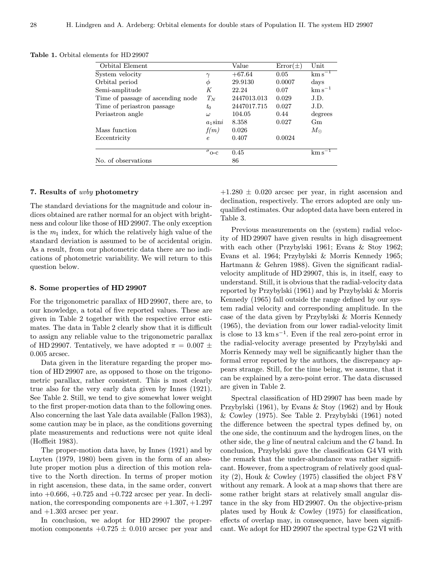| <b>Table 1.</b> Orbital elements for HD 29907 |  |
|-----------------------------------------------|--|
|-----------------------------------------------|--|

| Orbital Element                   |                         | Value       | $Error(\pm)$ | Unit                  |
|-----------------------------------|-------------------------|-------------|--------------|-----------------------|
| System velocity                   | $\gamma$                | $+67.64$    | 0.05         | $km s^{-1}$           |
| Orbital period                    | Φ                       | 29.9130     | 0.0007       | days                  |
| Semi-amplitude                    | K                       | 22.24       | 0.07         | $\mathrm{km\,s}^{-1}$ |
| Time of passage of ascending node | $T_N$                   | 2447013.013 | 0.029        | J.D.                  |
| Time of periastron passage        | $t_0$                   | 2447017.715 | 0.027        | J.D.                  |
| Periastron angle                  | $\omega$                | 104.05      | 0.44         | degrees               |
|                                   | $a_1$ sini              | 8.358       | 0.027        | Gm                    |
| Mass function                     | f(m)                    | 0.026       |              | $M_{\odot}$           |
| Eccentricity                      | $\epsilon$              | 0.407       | 0.0024       |                       |
|                                   | $\sigma$ <sub>O-C</sub> | 0.45        |              | km s                  |
| No. of observations               |                         | 86          |              |                       |

#### 7. Results of uvby photometry

The standard deviations for the magnitude and colour indices obtained are rather normal for an object with brightness and colour like those of HD 29907. The only exception is the  $m_1$  index, for which the relatively high value of the standard deviation is assumed to be of accidental origin. As a result, from our photometric data there are no indications of photometric variability. We will return to this question below.

# 8. Some properties of HD 29907

For the trigonometric parallax of HD 29907, there are, to our knowledge, a total of five reported values. These are given in Table 2 together with the respective error estimates. The data in Table 2 clearly show that it is difficult to assign any reliable value to the trigonometric parallax of HD 29907. Tentatively, we have adopted  $\pi = 0.007 \pm$ 0.005 arcsec.

Data given in the literature regarding the proper motion of HD 29907 are, as opposed to those on the trigonometric parallax, rather consistent. This is most clearly true also for the very early data given by Innes (1921). See Table 2. Still, we tend to give somewhat lower weight to the first proper-motion data than to the following ones. Also concerning the last Yale data available (Fallon 1983), some caution may be in place, as the conditions governing plate measurements and reductions were not quite ideal (Hoffleit 1983).

The proper-motion data have, by Innes (1921) and by Luyten (1979, 1980) been given in the form of an absolute proper motion plus a direction of this motion relative to the North direction. In terms of proper motion in right ascension, these data, in the same order, convert into  $+0.666, +0.725$  and  $+0.722$  arcsec per year. In declination, the corresponding components are  $+1.307, +1.297$ and +1.303 arcsec per year.

In conclusion, we adopt for HD 29907 the propermotion components  $+0.725 \pm 0.010$  arcsec per year and  $+1.280 \pm 0.020$  arcsec per year, in right ascension and declination, respectively. The errors adopted are only unqualified estimates. Our adopted data have been entered in Table 3.

Previous measurements on the (system) radial velocity of HD 29907 have given results in high disagreement with each other (Przybylski 1961; Evans & Stoy 1962; Evans et al. 1964; Przybylski & Morris Kennedy 1965; Hartmann & Gehren 1988). Given the significant radialvelocity amplitude of HD 29907, this is, in itself, easy to understand. Still, it is obvious that the radial-velocity data reported by Przybylski (1961) and by Przybylski & Morris Kennedy (1965) fall outside the range defined by our system radial velocity and corresponding amplitude. In the case of the data given by Przybylski & Morris Kennedy (1965), the deviation from our lower radial-velocity limit is close to 13 km s<sup> $-1$ </sup>. Even if the real zero-point error in the radial-velocity average presented by Przybylski and Morris Kennedy may well be significantly higher than the formal error reported by the authors, the discrepancy appears strange. Still, for the time being, we assume, that it can be explained by a zero-point error. The data discussed are given in Table 2.

Spectral classification of HD 29907 has been made by Przybylski (1961), by Evans & Stoy (1962) and by Houk & Cowley (1975). See Table 2. Przybylski (1961) noted the difference between the spectral types defined by, on the one side, the continuum and the hydrogen lines, on the other side, the  $g$  line of neutral calcium and the  $G$  band. In conclusion, Przybylski gave the classification G4 VI with the remark that the under-abundance was rather significant. However, from a spectrogram of relatively good quality (2), Houk & Cowley (1975) classified the object F8 V without any remark. A look at a map shows that there are some rather bright stars at relatively small angular distance in the sky from HD 29907. On the objective-prism plates used by Houk & Cowley (1975) for classification, effects of overlap may, in consequence, have been significant. We adopt for HD 29907 the spectral type G2 VI with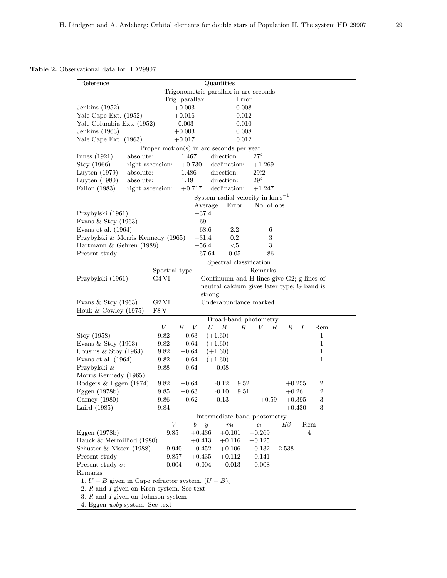Table 2. Observational data for HD 29907

| Quantities<br>Reference                                  |                  |                                          |                         |         |                                       |                                             |                  |
|----------------------------------------------------------|------------------|------------------------------------------|-------------------------|---------|---------------------------------------|---------------------------------------------|------------------|
|                                                          |                  | Trigonometric parallax in arc seconds    |                         |         |                                       |                                             |                  |
|                                                          |                  | Trig. parallax                           |                         | Error   |                                       |                                             |                  |
| Jenkins $(1952)$                                         |                  | $+0.003$                                 |                         | 0.008   |                                       |                                             |                  |
| Yale Cape Ext. (1952)                                    |                  | $+0.016$                                 |                         | 0.012   |                                       |                                             |                  |
| Yale Columbia Ext. (1952)                                |                  | $-0.003$                                 |                         | 0.010   |                                       |                                             |                  |
| Jenkins (1963)                                           |                  | $+0.003$                                 |                         | 0.008   |                                       |                                             |                  |
| Yale Cape Ext. (1963)                                    |                  | $+0.017$                                 |                         | 0.012   |                                       |                                             |                  |
|                                                          |                  | Proper motion(s) in arc seconds per year |                         |         |                                       |                                             |                  |
| Innes $(1921)$<br>absolute:                              |                  | 1.467                                    | direction               |         | $27^\circ$                            |                                             |                  |
| Stoy (1966)                                              | right ascension: | $+0.730$                                 | declination:            |         | $+1.269$                              |                                             |                  |
| Luyten $(1979)$<br>absolute:                             |                  | 1.486                                    | direction:              |         | 29.2                                  |                                             |                  |
| absolute:<br>Luyten $(1980)$                             |                  | 1.49                                     | direction:              |         | $29^{\circ}$                          |                                             |                  |
| Fallon (1983)                                            | right ascension: | $+0.717$                                 | declination:            |         | $+1.247$                              |                                             |                  |
|                                                          |                  |                                          |                         |         | System radial velocity in $km s^{-1}$ |                                             |                  |
|                                                          |                  |                                          | Average                 | Error   | No. of obs.                           |                                             |                  |
| Przybylski (1961)                                        |                  | $+37.4$                                  |                         |         |                                       |                                             |                  |
| Evans & Stoy $(1963)$                                    |                  | $+69$                                    |                         |         |                                       |                                             |                  |
| Evans et al. $(1964)$                                    |                  | $+68.6$                                  |                         | $2.2\,$ | 6                                     |                                             |                  |
| Przybylski & Morris Kennedy (1965)                       |                  | $+31.4$                                  |                         | $0.2\,$ | 3                                     |                                             |                  |
| Hartmann & Gehren (1988)                                 |                  | $+56.4$                                  |                         | $<$ 5   | 3                                     |                                             |                  |
| Present study                                            |                  |                                          | $+67.64\,$              | 0.05    | 86                                    |                                             |                  |
|                                                          |                  |                                          | Spectral classification |         |                                       |                                             |                  |
|                                                          | Spectral type    |                                          |                         |         | Remarks                               |                                             |                  |
| Przybylski (1961)                                        | G4 VI            |                                          |                         |         |                                       | Continuum and H lines give G2; g lines of   |                  |
|                                                          |                  |                                          |                         |         |                                       | neutral calcium gives later type; G band is |                  |
|                                                          |                  |                                          | strong                  |         |                                       |                                             |                  |
| Evans & Stoy $(1963)$                                    | $G2$ VI          |                                          | Underabundance marked   |         |                                       |                                             |                  |
| Houk $&$ Cowley (1975)                                   | F8 V             |                                          |                         |         |                                       |                                             |                  |
|                                                          |                  |                                          |                         |         | Broad-band photometry                 |                                             |                  |
|                                                          | V                | $B-V$                                    | $U-B$                   | R       | $V - R$                               | $R-I$                                       | Rem              |
| Stoy (1958)                                              | 9.82             | $+0.63$                                  | $(+1.60)$               |         |                                       |                                             | 1                |
| Evans $&$ Stoy (1963)                                    | 9.82             | $+0.64$                                  | $(+1.60)$               |         |                                       |                                             | $\mathbf{1}$     |
| Cousins & Stoy $(1963)$                                  | 9.82             | $+0.64$                                  | $(+1.60)$               |         |                                       |                                             | $\mathbf 1$      |
| Evans et al. $(1964)$                                    | 9.82             | $+0.64$                                  | $(+1.60)$               |         |                                       |                                             | 1                |
| Przybylski &                                             | 9.88             | $+0.64$                                  | $-0.08$                 |         |                                       |                                             |                  |
| Morris Kennedy (1965)                                    |                  |                                          |                         |         |                                       |                                             |                  |
| Rodgers & Eggen (1974)                                   | 9.82             | $+0.64$                                  | $-0.12$                 | 9.52    |                                       | $+0.255$                                    | $\boldsymbol{2}$ |
| Eggen $(1978b)$                                          | 9.85             | $+0.63$                                  | $-0.10$                 | 9.51    |                                       | $+0.26$                                     | $\overline{2}$   |
| Carney $(1980)$                                          | 9.86             | $+0.62$                                  | $-0.13$                 |         | $+0.59$                               | $+0.395$                                    | 3                |
| Laird (1985)                                             | 9.84             |                                          |                         |         |                                       | $+0.430$                                    | 3                |
|                                                          |                  |                                          |                         |         | Intermediate-band photometry          |                                             |                  |
|                                                          | V                | $b - y$                                  | $m_1$                   |         | $\mathfrak{c}_1$                      | $H\beta$                                    | Rem              |
| Eggen $(1978b)$                                          | 9.85             | $+0.436$                                 | $+0.101$                |         | $+0.269$                              |                                             | 4                |
| Hauck & Mermilliod (1980)                                |                  | $+0.413$                                 | $+0.116$                |         | $+0.125$                              |                                             |                  |
| Schuster & Nissen $(1988)$                               | 9.940            | $+0.452$                                 | $+0.106$                |         | $+0.132$                              | 2.538                                       |                  |
| Present study                                            | 9.857            | $+0.435$                                 | $+0.112$                |         | $+0.141$                              |                                             |                  |
| Present study $\sigma$ :                                 | 0.004            |                                          | 0.004                   | 0.013   | 0.008                                 |                                             |                  |
| Remarks                                                  |                  |                                          |                         |         |                                       |                                             |                  |
| 1. $U - B$ given in Cape refractor system, $(U - B)_{c}$ |                  |                                          |                         |         |                                       |                                             |                  |
| 2. $R$ and $I$ given on Kron system. See text            |                  |                                          |                         |         |                                       |                                             |                  |
|                                                          |                  |                                          |                         |         |                                       |                                             |                  |

 $3. \; R$  and  $I$  given on Johnson system

4. Eggen uvby system. See text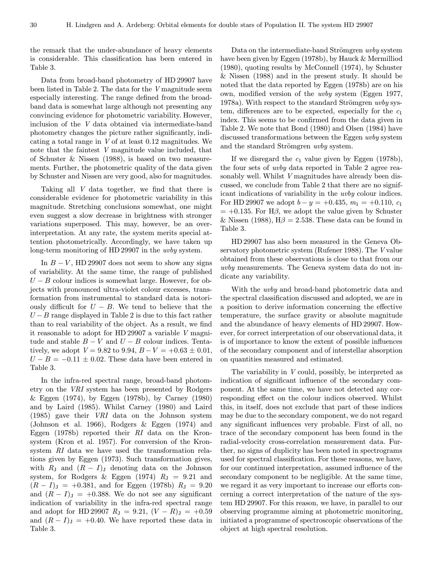the remark that the under-abundance of heavy elements is considerable. This classification has been entered in Table 3.

Data from broad-band photometry of HD 29907 have been listed in Table 2. The data for the V magnitude seem especially interesting. The range defined from the broadband data is somewhat large although not presenting any convincing evidence for photometric variability. However, inclusion of the V data obtained via intermediate-band photometry changes the picture rather significantly, indicating a total range in V of at least 0.12 magnitudes. We note that the faintest V magnitude value included, that of Schuster & Nissen (1988), is based on two measurements. Further, the photometric quality of the data given by Schuster and Nissen are very good, also for magnitudes.

Taking all V data together, we find that there is considerable evidence for photometric variability in this magnitude. Stretching conclusions somewhat, one might even suggest a slow decrease in brightness with stronger variations superposed. This may, however, be an overinterpretation. At any rate, the system merits special attention photometrically. Accordingly, we have taken up long-term monitoring of HD 29907 in the uvby system.

In  $B - V$ , HD 29907 does not seem to show any signs of variability. At the same time, the range of published  $U - B$  colour indices is somewhat large. However, for objects with pronounced ultra-violet colour excesses, transformation from instrumental to standard data is notoriously difficult for  $U - B$ . We tend to believe that the  $U - B$  range displayed in Table 2 is due to this fact rather than to real variability of the object. As a result, we find it reasonable to adopt for HD 29907 a variable V magnitude and stable  $B - V$  and  $U - B$  colour indices. Tentatively, we adopt  $V = 9.82$  to  $9.94$ ,  $B - V = +0.63 \pm 0.01$ ,  $U - B = -0.11 \pm 0.02$ . These data have been entered in Table 3.

In the infra-red spectral range, broad-band photometry on the VRI system has been presented by Rodgers & Eggen (1974), by Eggen (1978b), by Carney (1980) and by Laird (1985). Whilst Carney (1980) and Laird (1985) gave their VRI data on the Johnson system (Johnson et al. 1966), Rodgers & Eggen (1974) and Eggen (1978b) reported their RI data on the Kronsystem (Kron et al. 1957). For conversion of the Kronsystem RI data we have used the transformation relations given by Eggen (1973). Such transformation gives, with  $R_J$  and  $(R - I)_{J}$  denoting data on the Johnson system, for Rodgers & Eggen (1974)  $R_J = 9.21$  and  $(R - I)$ <sub>J</sub> = +0.381, and for Eggen (1978b)  $R$ <sub>J</sub> = 9.20 and  $(R - I)_{\text{J}} = +0.388$ . We do not see any significant indication of variability in the infra-red spectral range and adopt for HD 29907  $R_J = 9.21$ ,  $(V - R_J) = +0.59$ and  $(R - I)$ <sub>J</sub> = +0.40. We have reported these data in Table 3.

Data on the intermediate-band Strömgren *uvby* system have been given by Eggen (1978b), by Hauck & Mermilliod (1980), quoting results by McConnell (1974), by Schuster & Nissen (1988) and in the present study. It should be noted that the data reported by Eggen (1978b) are on his own, modified version of the uvby system (Eggen 1977, 1978a). With respect to the standard Strömgren *uvby* system, differences are to be expected, especially for the  $c_1$ index. This seems to be confirmed from the data given in Table 2. We note that Bond (1980) and Olsen (1984) have discussed transformations between the Eggen uvby system and the standard Strömgren *uvby* system.

If we disregard the  $c_1$  value given by Eggen (1978b), the four sets of uvby data reported in Table 2 agree reasonably well. Whilst V magnitudes have already been discussed, we conclude from Table 2 that there are no significant indications of variability in the uvby colour indices. For HD 29907 we adopt  $b - y = +0.435$ ,  $m_1 = +0.110$ ,  $c_1$  $= +0.135$ . For H $\beta$ , we adopt the value given by Schuster & Nissen (1988),  $H\beta = 2.538$ . These data can be found in Table 3.

HD 29907 has also been measured in the Geneva Observatory photometric system (Rufener 1988). The V value obtained from these observations is close to that from our uvby measurements. The Geneva system data do not indicate any variability.

With the uvby and broad-band photometric data and the spectral classification discussed and adopted, we are in a position to derive information concerning the effective temperature, the surface gravity or absolute magnitude and the abundance of heavy elements of HD 29907. However, for correct interpretation of our observational data, it is of importance to know the extent of possible influences of the secondary component and of interstellar absorption on quantities measured and estimated.

The variability in V could, possibly, be interpreted as indication of significant influence of the secondary component. At the same time, we have not detected any corresponding effect on the colour indices observed. Whilst this, in itself, does not exclude that part of these indices may be due to the secondary component, we do not regard any significant influences very probable. First of all, no trace of the secondary component has been found in the radial-velocity cross-correlation measurement data. Further, no signs of duplicity has been noted in spectrograms used for spectral classification. For these reasons, we have, for our continued interpretation, assumed influence of the secondary component to be negligible. At the same time, we regard it as very important to increase our efforts concerning a correct interpretation of the nature of the system HD 29907. For this reason, we have, in parallel to our observing programme aiming at photometric monitoring, initiated a programme of spectroscopic observations of the object at high spectral resolution.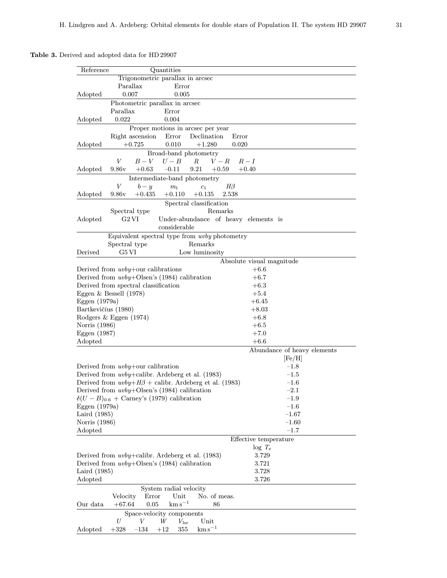# Table 3. Derived and adopted data for HD 29907

| Quantities<br>Reference                                              |                             |
|----------------------------------------------------------------------|-----------------------------|
| Trigonometric parallax in arcsec                                     |                             |
| Parallax<br>Error                                                    |                             |
| 0.007<br>Adopted<br>0.005                                            |                             |
| Photometric parallax in arcsec                                       |                             |
| Parallax<br>Error                                                    |                             |
| 0.022<br>Adopted<br>0.004                                            |                             |
|                                                                      |                             |
| Proper motions in arcsec per year<br>Error<br>Declination            | Error                       |
| Right ascension<br>$+1.280$                                          |                             |
| Adopted<br>0.010<br>$+0.725$                                         | 0.020                       |
| Broad-band photometry                                                |                             |
| $B-V$<br>V<br>$U-B$<br>$V-R$<br>R                                    | $R-I$                       |
| 9.86v<br>$+0.63$<br>$-0.11$<br>9.21<br>$+0.59$<br>Adopted            | $+0.40$                     |
| Intermediate-band photometry                                         |                             |
| $\boldsymbol{V}$<br>$H\beta$<br>$b - y$<br>$m_1$<br>$c_1$            |                             |
| 9.86v<br>$+0.435$<br>$+0.110$<br>$+0.135$<br>2.538<br>Adopted        |                             |
| Spectral classification                                              |                             |
| Remarks<br>Spectral type                                             |                             |
| Adopted<br>G2 VI<br>Under-abundance of heavy elements is             |                             |
| considerable                                                         |                             |
| Equivalent spectral type from uvby photometry                        |                             |
| Remarks<br>Spectral type                                             |                             |
| G5 VI<br>Low luminosity<br>Derived                                   |                             |
|                                                                      | Absolute visual magnitude   |
| Derived from $uvby+$ our calibrations                                | $+6.6$                      |
| Derived from $uvby+Olsen's (1984)$ calibration                       | $+6.7$                      |
| Derived from spectral classification                                 | $+6.3$                      |
| Eggen $\&$ Bessell (1978)                                            | $+5.4$                      |
| Eggen $(1979a)$                                                      | $+6.45$                     |
| Bartkevičius (1980)                                                  | $+8.03$                     |
|                                                                      | $+6.8$                      |
| Rodgers & Eggen $(1974)$                                             |                             |
| Norris (1986)                                                        | $+6.5$                      |
| Eggen (1987)                                                         | $+7.0$                      |
| Adopted                                                              | $+6.6$                      |
|                                                                      | Abundance of heavy elements |
|                                                                      | [Fe/H]                      |
| Derived from $uvby+$ our calibration                                 | $-1.8$                      |
| Derived from $uvby +$ calibr. Ardeberg et al. (1983)                 | $-1.5$                      |
| Derived from $uvby+H\beta$ + calibr. Ardeberg et al. (1983)          | $-1.6$                      |
| Derived from $uvby+Olsen's (1984)$ calibration                       | $^{-2.1}$                   |
| $\delta(U-B)_{0.6}$ + Carney's (1979) calibration                    | $-1.9$                      |
| Eggen $(1979a)$                                                      | $-1.6$                      |
| Laird (1985)                                                         | $\!-1.67$                   |
| Norris (1986)                                                        | $-1.60$                     |
| Adopted                                                              | $-1.7$                      |
|                                                                      | Effective temperature       |
|                                                                      | $log T_e$                   |
| Derived from $uvby +$ calibr. Ardeberg et al. (1983)                 | 3.729                       |
| Derived from $uvby+Olsen's (1984)$ calibration                       | 3.721                       |
| Laird (1985)                                                         | 3.728                       |
| Adopted                                                              | 3.726                       |
|                                                                      |                             |
| System radial velocity                                               |                             |
| Velocity<br>Error<br>Unit<br>No. of meas.                            |                             |
| $\mathrm{km\,s}^{-1}$<br>$0.05\,$<br>Our data<br>$+67.64$<br>86      |                             |
| Space-velocity components                                            |                             |
| U<br>V<br>$\operatorname{Unit}$<br>W<br>$V_{\rm lsr}$                |                             |
| $\mathrm{km\,s}^{-1}$<br>Adopted<br>$+328$<br>$-134$<br>355<br>$+12$ |                             |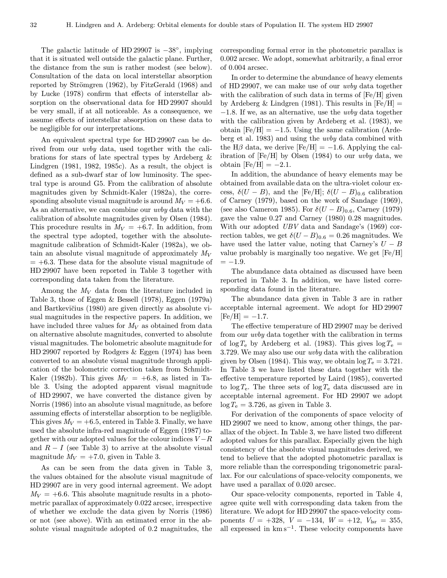The galactic latitude of HD 29907 is  $-38^\circ$ , implying that it is situated well outside the galactic plane. Further, the distance from the sun is rather modest (see below). Consultation of the data on local interstellar absorption reported by Strömgren  $(1962)$ , by FitzGerald  $(1968)$  and by Lucke (1978) confirm that effects of interstellar absorption on the observational data for HD 29907 should be very small, if at all noticeable. As a consequence, we assume effects of interstellar absorption on these data to be negligible for our interpretations.

An equivalent spectral type for HD 29907 can be derived from our uvby data, used together with the calibrations for stars of late spectral types by Ardeberg & Lindgren (1981, 1982, 1985c). As a result, the object is defined as a sub-dwarf star of low luminosity. The spectral type is around G5. From the calibration of absolute magnitudes given by Schmidt-Kaler (1982a), the corresponding absolute visual magnitude is around  $M_V = +6.6$ . As an alternative, we can combine our *uvby* data with the calibration of absolute magnitudes given by Olsen (1984). This procedure results in  $M_V = +6.7$ . In addition, from the spectral type adopted, together with the absolutemagnitude calibration of Schmidt-Kaler (1982a), we obtain an absolute visual magnitude of approximately  $M_V$  $= +6.3$ . These data for the absolute visual magnitude of HD 29907 have been reported in Table 3 together with corresponding data taken from the literature.

Among the  $M_V$  data from the literature included in Table 3, those of Eggen & Bessell (1978), Eggen (1979a) and Bartkevičius (1980) are given directly as absolute visual magnitudes in the respective papers. In addition, we have included three values for  $M_V$  as obtained from data on alternative absolute magnitudes, converted to absolute visual magnitudes. The bolometric absolute magnitude for HD 29907 reported by Rodgers & Eggen (1974) has been converted to an absolute visual magnitude through application of the bolometric correction taken from Schmidt-Kaler (1982b). This gives  $M_V = +6.8$ , as listed in Table 3. Using the adopted apparent visual magnitude of HD 29907, we have converted the distance given by Norris (1986) into an absolute visual magnitude, as before assuming effects of interstellar absorption to be negligible. This gives  $M_V = +6.5$ , entered in Table 3. Finally, we have used the absolute infra-red magnitude of Eggen (1987) together with our adopted values for the colour indices  $V - R$ and  $R - I$  (see Table 3) to arrive at the absolute visual magnitude  $M_V = +7.0$ , given in Table 3.

As can be seen from the data given in Table 3, the values obtained for the absolute visual magnitude of HD 29907 are in very good internal agreement. We adopt  $M_V = +6.6$ . This absolute magnitude results in a photometric parallax of approximately 0.022 arcsec, irrespective of whether we exclude the data given by Norris (1986) or not (see above). With an estimated error in the absolute visual magnitude adopted of 0.2 magnitudes, the corresponding formal error in the photometric parallax is 0.002 arcsec. We adopt, somewhat arbitrarily, a final error of 0.004 arcsec.

In order to determine the abundance of heavy elements of HD 29907, we can make use of our uvby data together with the calibration of such data in terms of [Fe/H] given by Ardeberg & Lindgren (1981). This results in  $[Fe/H] =$ −1.8. If we, as an alternative, use the uvby data together with the calibration given by Ardeberg et al. (1983), we obtain  $[Fe/H] = -1.5$ . Using the same calibration (Ardeberg et al. 1983) and using the uvby data combined with the H $\beta$  data, we derive [Fe/H] = -1.6. Applying the calibration of  $[Fe/H]$  by Olsen (1984) to our *uvby* data, we obtain  $[Fe/H] = -2.1$ .

In addition, the abundance of heavy elements may be obtained from available data on the ultra-violet colour excess,  $\delta(U - B)$ , and the [Fe/H];  $\delta(U - B)_{0.6}$  calibration of Carney (1979), based on the work of Sandage (1969), (see also Cameron 1985). For  $\delta(U-B)_{0.6}$ , Carney (1979) gave the value 0.27 and Carney (1980) 0.28 magnitudes. With our adopted UBV data and Sandage's (1969) correction tables, we get  $\delta(U-B)_{0.6} = 0.26$  magnitudes. We have used the latter value, noting that Carney's  $U - B$ value probably is marginally too negative. We get [Fe/H]  $=-1.9.$ 

The abundance data obtained as discussed have been reported in Table 3. In addition, we have listed corresponding data found in the literature.

The abundance data given in Table 3 are in rather acceptable internal agreement. We adopt for HD 29907  $[Fe/H] = -1.7.$ 

The effective temperature of HD 29907 may be derived from our uvby data together with the calibration in terms of  $\log T_e$  by Ardeberg et al. (1983). This gives  $\log T_e$  = 3.729. We may also use our uvby data with the calibration given by Olsen (1984). This way, we obtain  $\log T_e = 3.721$ . In Table 3 we have listed these data together with the effective temperature reported by Laird (1985), converted to  $\log T_e$ . The three sets of  $\log T_e$  data discussed are in acceptable internal agreement. For HD 29907 we adopt  $\log T_e = 3.726$ , as given in Table 3.

For derivation of the components of space velocity of HD 29907 we need to know, among other things, the parallax of the object. In Table 3, we have listed two different adopted values for this parallax. Especially given the high consistency of the absolute visual magnitudes derived, we tend to believe that the adopted photometric parallax is more reliable than the corresponding trigonometric parallax. For our calculations of space-velocity components, we have used a parallax of 0.020 arcsec.

Our space-velocity components, reported in Table 4, agree quite well with corresponding data taken from the literature. We adopt for HD 29907 the space-velocity components  $U = +328$ ,  $V = -134$ ,  $W = +12$ ,  $V_{\text{lsr}} = 355$ , all expressed in  $km s^{-1}$ . These velocity components have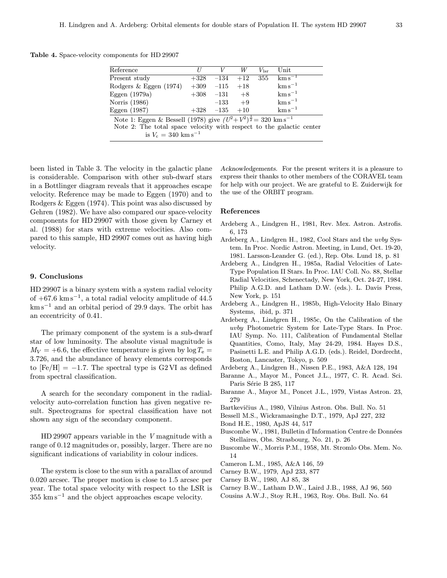Table 4. Space-velocity components for HD 29907

| Reference                                                                               |  |                     | W     | $V_{\rm 1sr}$ | Unit                           |  |
|-----------------------------------------------------------------------------------------|--|---------------------|-------|---------------|--------------------------------|--|
| Present study                                                                           |  | $+328$ $-134$ $+12$ |       | 355           | $\mathrm{km}\,\mathrm{s}^{-1}$ |  |
| Rodgers & Eggen (1974)                                                                  |  | $+309 -115$         | $+18$ |               | $\mathrm{km\,s}^{-1}$          |  |
| Eggen $(1979a)$                                                                         |  | $+308$ $-131$       | $+8$  |               | $\mathrm{km\,s}^{-1}$          |  |
| Norris (1986)                                                                           |  | $-133$              | $+9$  |               | $\mathrm{km\,s}^{-1}$          |  |
| Eggen $(1987)$                                                                          |  | $+328$ $-135$       | $+10$ |               | $\mathrm{km\,s}^{-1}$          |  |
| Note 1: Eggen & Bessell (1978) give $(U^2 + V^2)^{\frac{1}{2}} = 320 \text{ km s}^{-1}$ |  |                     |       |               |                                |  |

Note 2: The total space velocity with respect to the galactic center is  $V_c = 340$  km s<sup>-1</sup>

been listed in Table 3. The velocity in the galactic plane is considerable. Comparison with other sub-dwarf stars in a Bottlinger diagram reveals that it approaches escape velocity. Reference may be made to Eggen (1970) and to Rodgers & Eggen (1974). This point was also discussed by Gehren (1982). We have also compared our space-velocity components for HD 29907 with those given by Carney et al. (1988) for stars with extreme velocities. Also compared to this sample, HD 29907 comes out as having high velocity.

## 9. Conclusions

HD 29907 is a binary system with a system radial velocity of  $+67.6 \text{ km s}^{-1}$ , a total radial velocity amplitude of 44.5  $km s<sup>-1</sup>$  and an orbital period of 29.9 days. The orbit has an eccentricity of 0.41.

The primary component of the system is a sub-dwarf star of low luminosity. The absolute visual magnitude is  $M_V = +6.6$ , the effective temperature is given by  $\log T_e =$ 3.726, and the abundance of heavy elements corresponds to  $[Fe/H] = -1.7$ . The spectral type is G2VI as defined from spectral classification.

A search for the secondary component in the radialvelocity auto-correlation function has given negative result. Spectrograms for spectral classification have not shown any sign of the secondary component.

HD 29907 appears variable in the V magnitude with a range of 0.12 magnitudes or, possibly, larger. There are no significant indications of variability in colour indices.

The system is close to the sun with a parallax of around 0.020 arcsec. The proper motion is close to 1.5 arcsec per year. The total space velocity with respect to the LSR is  $355 \text{ km s}^{-1}$  and the object approaches escape velocity.

Acknowledgements. For the present writers it is a pleasure to express their thanks to other members of the CORAVEL team for help with our project. We are grateful to E. Zuiderwijk for the use of the ORBIT program.

# References

- Ardeberg A., Lindgren H., 1981, Rev. Mex. Astron. Astrofis. 6, 173
- Ardeberg A., Lindgren H., 1982, Cool Stars and the uvby System. In Proc. Nordic Astron. Meeting, in Lund, Oct. 19-20, 1981. Larsson-Leander G. (ed.), Rep. Obs. Lund 18, p. 81
- Ardeberg A., Lindgren H., 1985a, Radial Velocities of Late-Type Population II Stars. In Proc. IAU Coll. No. 88, Stellar Radial Velocities, Schenectady, New York, Oct. 24-27, 1984. Philip A.G.D. and Latham D.W. (eds.). L. Davis Press, New York, p. 151
- Ardeberg A., Lindgren H., 1985b, High-Velocity Halo Binary Systems, ibid, p. 371
- Ardeberg A., Lindgren H., 1985c, On the Calibration of the uvby Photometric System for Late-Type Stars. In Proc. IAU Symp. No. 111, Calibration of Fundamental Stellar Quantities, Como, Italy, May 24-29, 1984. Hayes D.S., Pasinetti L.E. and Philip A.G.D. (eds.). Reidel, Dordrecht, Boston, Lancaster, Tokyo, p. 509

Ardeberg A., Lindgren H., Nissen P.E., 1983, A&A 128, 194

- Baranne A., Mayor M., Poncet J.L., 1977, C. R. Acad. Sci. Paris Série B 285, 117
- Baranne A., Mayor M., Poncet J.L., 1979, Vistas Astron. 23, 279
- Bartkevičius A., 1980, Vilnius Astron. Obs. Bull. No. 51
- Bessell M.S., Wickramasinghe D.T., 1979, ApJ 227, 232
- Bond H.E., 1980, ApJS 44, 517
- Buscombe W., 1981, Bulletin d'Information Centre de Données Stellaires, Obs. Strasbourg, No. 21, p. 26
- Buscombe W., Morris P.M., 1958, Mt. Stromlo Obs. Mem. No. 14
- Cameron L.M., 1985, A&A 146, 59
- Carney B.W., 1979, ApJ 233, 877
- Carney B.W., 1980, AJ 85, 38
- Carney B.W., Latham D.W., Laird J.B., 1988, AJ 96, 560
- Cousins A.W.J., Stoy R.H., 1963, Roy. Obs. Bull. No. 64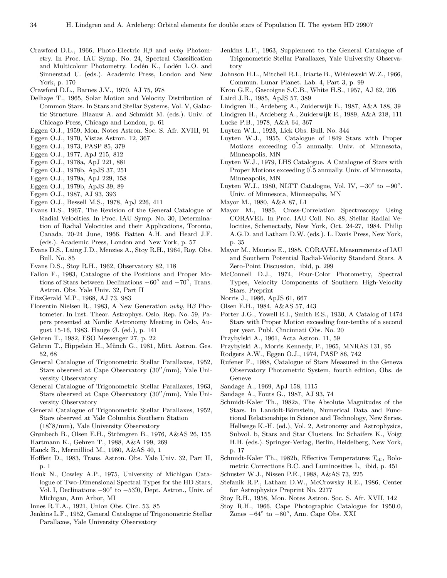- Crawford D.L., 1966, Photo-Electric  $H\beta$  and uvby Photometry. In Proc. IAU Symp. No. 24, Spectral Classification and Multicolour Photometry. Lodén K., Lodén L.O. and Sinnerstad U. (eds.). Academic Press, London and New York, p. 170
- Crawford D.L., Barnes J.V., 1970, AJ 75, 978
- Delhaye T., 1965, Solar Motion and Velocity Distribution of Common Stars. In Stars and Stellar Systems, Vol. V, Galactic Structure. Blaauw A. and Schmidt M. (eds.). Univ. of Chicago Press, Chicago and London, p. 61
- Eggen O.J., 1959, Mon. Notes Astron. Soc. S. Afr. XVIII, 91
- Eggen O.J., 1970, Vistas Astron. 12, 367
- Eggen O.J., 1973, PASP 85, 379
- Eggen O.J., 1977, ApJ 215, 812
- Eggen O.J., 1978a, ApJ 221, 881
- Eggen O.J., 1978b, ApJS 37, 251
- Eggen O.J., 1979a, ApJ 229, 158
- Eggen O.J., 1979b, ApJS 39, 89
- Eggen O.J., 1987, AJ 93, 393
- Eggen O.J., Bessell M.S., 1978, ApJ 226, 411
- Evans D.S., 1967, The Revision of the General Catalogue of Radial Velocities. In Proc. IAU Symp. No. 30, Determination of Radial Velocities and their Applications, Toronto, Canada, 20-24 June, 1966. Batten A.H. and Heard J.F. (eds.). Academic Press, London and New York, p. 57
- Evans D.S., Laing J.D., Menzies A., Stoy R.H., 1964, Roy. Obs. Bull. No. 85
- Evans D.S., Stoy R.H., 1962, Observatory 82, 118
- Fallon F., 1983, Catalogue of the Positions and Proper Motions of Stars between Declinations −60◦ and −70◦, Trans. Astron. Obs. Yale Univ. 32, Part II
- FitzGerald M.P., 1968, AJ 73, 983
- Florentin Nielsen R., 1983, A New Generation uvby, Hβ Photometer. In Inst. Theor. Astrophys. Oslo, Rep. No. 59, Papers presented at Nordic Astronomy Meeting in Oslo, August 15-16, 1983. Hauge Ø. (ed.), p. 141
- Gehren T., 1982, ESO Messenger 27, p. 22
- Gehren T., Hippelein H., Münch G., 1981, Mitt. Astron. Ges. 52, 68
- General Catalogue of Trigonometric Stellar Parallaxes, 1952, Stars observed at Cape Observatory  $(30''/mm)$ , Yale University Observatory
- General Catalogue of Trigonometric Stellar Parallaxes, 1963, Stars observed at Cape Observatory  $(30''/mm)$ , Yale University Observatory

General Catalogue of Trigonometric Stellar Parallaxes, 1952, Stars observed at Yale Columbia Southern Station (18.<sup>"8</sup>/mm), Yale University Observatory

- Grønbech B., Olsen E.H., Strömgren B., 1976, A&AS 26, 155
- Hartmann K., Gehren T., 1988, A&A 199, 269
- Hauck B., Mermilliod M., 1980, A&AS 40, 1
- Hoffleit D., 1983, Trans. Astron. Obs. Yale Univ. 32, Part II, p. 1
- Houk N., Cowley A.P., 1975, University of Michigan Catalogue of Two-Dimensional Spectral Types for the HD Stars, Vol. I, Declinations −90° to −53℃, Dept. Astron., Univ. of Michigan, Ann Arbor, MI
- Innes R.T.A., 1921, Union Obs. Circ. 53, 85
- Jenkins L.F., 1952, General Catalogue of Trigonometric Stellar Parallaxes, Yale University Observatory
- Jenkins L.F., 1963, Supplement to the General Catalogue of Trigonometric Stellar Parallaxes, Yale University Observatory
- Johnson H.L., Mitchell R.I., Iriarte B., Wiśniewski W.Z., 1966, Commun. Lunar Planet. Lab. 4, Part 3, p. 99
- Kron G.E., Gascoigne S.C.B., White H.S., 1957, AJ 62, 205
- Laird J.B., 1985, ApJS 57, 389
- Lindgren H., Ardeberg A., Zuiderwijk E., 1987, A&A 188, 39
- Lindgren H., Ardeberg A., Zuiderwijk E., 1989, A&A 218, 111
- Lucke P.B., 1978, A&A 64, 367
- Luyten W.L., 1923, Lick Obs. Bull. No. 344
- Luyten W.J., 1955, Catalogue of 1849 Stars with Proper Motions exceeding  $0.5$  annually. Univ. of Minnesota, Minneapolis, MN
- Luyten W.J., 1979, LHS Catalogue. A Catalogue of Stars with Proper Motions exceeding  $0^{''}\!\!.5$  annually. Univ. of Minnesota, Minneapolis, MN
- Luyten W.J., 1980, NLTT Catalogue, Vol. IV,  $-30^\circ$  to  $-90^\circ$ . Univ. of Minnesota, Minneapolis, MN
- Mayor M., 1980, A&A 87, L1
- Mayor M., 1985, Cross-Correlation Spectroscopy Using CORAVEL. In Proc. IAU Coll. No. 88, Stellar Radial Velocities, Schenectady, New York, Oct. 24-27, 1984. Philip A.G.D. and Latham D.W. (eds.). L. Davis Press, New York, p. 35
- Mayor M., Maurice E., 1985, CORAVEL Measurements of IAU and Southern Potential Radial-Velocity Standard Stars. A Zero-Point Discussion, ibid, p. 299
- McConnell D.J., 1974, Four-Color Photometry, Spectral Types, Velocity Components of Southern High-Velocity Stars. Preprint
- Norris J., 1986, ApJS 61, 667
- Olsen E.H., 1984, A&AS 57, 443
- Porter J.G., Yowell E.I., Smith E.S., 1930, A Catalog of 1474 Stars with Proper Motion exceeding four-tenths of a second per year. Publ. Cincinnati Obs. No. 20
- Przybylski A., 1961, Acta Astron. 11, 59
- Przybylski A., Morris Kennedy, P., 1965, MNRAS 131, 95
- Rodgers A.W., Eggen O.J., 1974, PASP 86, 742
- Rufener F., 1988, Catalogue of Stars Measured in the Geneva Observatory Photometric System, fourth edition, Obs. de Geneve
- Sandage A., 1969, ApJ 158, 1115
- Sandage A., Fouts G., 1987, AJ 93, 74
- Schmidt-Kaler Th., 1982a, The Absolute Magnitudes of the Stars. In Landolt-Börnstein, Numerical Data and Functional Relationships in Science and Technology, New Series. Hellwege K.-H. (ed.), Vol. 2, Astronomy and Astrophysics, Subvol. b, Stars and Star Clusters. In: Schaifers K., Voigt H.H. (eds.). Springer-Verlag, Berlin, Heidelberg, New York, p. 17
- Schmidt-Kaler Th., 1982b, Effective Temperatures  $T_{\text{eff}}$ , Bolometric Corrections B.C. and Luminosities L, ibid, p. 451
- Schuster W.J., Nissen P.E., 1988, A&AS 73, 225
- Stefanik R.P., Latham D.W., McCrowsky R.E., 1986, Center for Astrophysics Preprint No. 2277
- Stoy R.H., 1958, Mon. Notes Astron. Soc. S. Afr. XVII, 142
- Stoy R.H., 1966, Cape Photographic Catalogue for 1950.0, Zones −64◦ to −80◦, Ann. Cape Obs. XXI